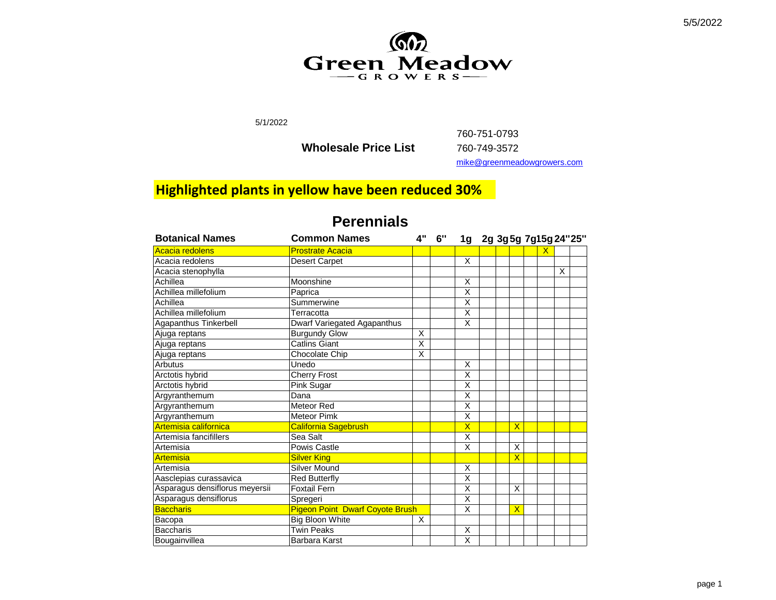

5/1/2022

**Wholesale Price List** 

760-751-0793 760-749-3572 [mike@](mailto:mike@greenmeadowgrowers.com)greenmeadowgrowers.com

### **Highlighted plants in yellow have been reduced 30%**

| <b>Botanical Names</b>         | <b>Common Names</b>                    | <b>4"</b> | 6" | 1g 2g 3g 5g 7g 15g 24"25" |  |                         |   |   |  |
|--------------------------------|----------------------------------------|-----------|----|---------------------------|--|-------------------------|---|---|--|
| Acacia redolens                | <b>Prostrate Acacia</b>                |           |    |                           |  |                         | x |   |  |
| Acacia redolens                | <b>Desert Carpet</b>                   |           |    | X                         |  |                         |   |   |  |
| Acacia stenophylla             |                                        |           |    |                           |  |                         |   | X |  |
| Achillea                       | Moonshine                              |           |    | X                         |  |                         |   |   |  |
| Achillea millefolium           | Paprica                                |           |    | Χ                         |  |                         |   |   |  |
| Achillea                       | Summerwine                             |           |    | $\overline{\mathsf{x}}$   |  |                         |   |   |  |
| Achillea millefolium           | Terracotta                             |           |    | X                         |  |                         |   |   |  |
| Agapanthus Tinkerbell          | Dwarf Variegated Agapanthus            |           |    | X                         |  |                         |   |   |  |
| Ajuga reptans                  | <b>Burgundy Glow</b>                   | X         |    |                           |  |                         |   |   |  |
| Ajuga reptans                  | <b>Catlins Giant</b>                   | X         |    |                           |  |                         |   |   |  |
| Ajuga reptans                  | Chocolate Chip                         | X         |    |                           |  |                         |   |   |  |
| Arbutus                        | Unedo                                  |           |    | X                         |  |                         |   |   |  |
| Arctotis hybrid                | <b>Cherry Frost</b>                    |           |    | X                         |  |                         |   |   |  |
| Arctotis hybrid                | Pink Sugar                             |           |    | X                         |  |                         |   |   |  |
| Argyranthemum                  | Dana                                   |           |    | $\overline{\mathsf{x}}$   |  |                         |   |   |  |
| Argyranthemum                  | Meteor Red                             |           |    | X                         |  |                         |   |   |  |
| Argyranthemum                  | <b>Meteor Pimk</b>                     |           |    | $\overline{\mathsf{x}}$   |  |                         |   |   |  |
| Artemisia californica          | <b>California Sagebrush</b>            |           |    | $\overline{\mathsf{X}}$   |  | $\overline{\mathsf{x}}$ |   |   |  |
| Artemisia fancifillers         | Sea Salt                               |           |    | Χ                         |  |                         |   |   |  |
| Artemisia                      | Powis Castle                           |           |    | $\overline{\mathsf{x}}$   |  | X                       |   |   |  |
| <b>Artemisia</b>               | <b>Silver King</b>                     |           |    |                           |  | $\overline{\mathsf{x}}$ |   |   |  |
| Artemisia                      | <b>Silver Mound</b>                    |           |    | X                         |  |                         |   |   |  |
| Aasclepias curassavica         | <b>Red Butterfly</b>                   |           |    | $\overline{\mathsf{x}}$   |  |                         |   |   |  |
| Asparagus densiflorus meyersii | <b>Foxtail Fern</b>                    |           |    | Χ                         |  | X                       |   |   |  |
| Asparagus densiflorus          | Spregeri                               |           |    | X                         |  |                         |   |   |  |
| <b>Baccharis</b>               | <b>Pigeon Point Dwarf Coyote Brush</b> |           |    | $\overline{X}$            |  | $\overline{\mathsf{X}}$ |   |   |  |
| Bacopa                         | <b>Big Bloon White</b>                 | X         |    |                           |  |                         |   |   |  |
| <b>Baccharis</b>               | <b>Twin Peaks</b>                      |           |    | X                         |  |                         |   |   |  |
| Bougainvillea                  | Barbara Karst                          |           |    | $\overline{\mathsf{x}}$   |  |                         |   |   |  |

#### **Perennials**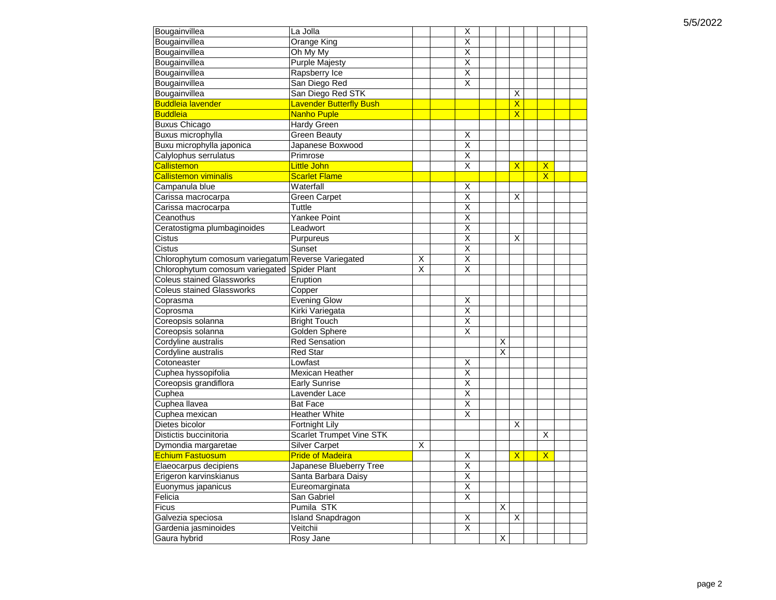| $\overline{\mathsf{x}}$<br>Bougainvillea<br>Orange King<br>$\overline{\mathsf{x}}$<br>Bougainvillea<br>Oh My My<br>Bougainvillea<br>$\overline{\mathsf{x}}$<br><b>Purple Majesty</b><br>$\overline{\mathsf{x}}$<br>Bougainvillea<br>Rapsberry Ice<br>X<br>Bougainvillea<br>San Diego Red<br>Bougainvillea<br>San Diego Red STK<br>X<br><b>Buddleia lavender</b><br><b>Lavender Butterfly Bush</b><br>$\mathsf{X}$<br><b>Buddleia</b><br><b>Nanho Puple</b><br>$\overline{\mathsf{x}}$<br><b>Buxus Chicago</b><br>Hardy Green<br>Buxus microphylla<br><b>Green Beauty</b><br>X<br>$\overline{\mathsf{x}}$<br>Buxu microphylla japonica<br>Japanese Boxwood<br>Calylophus serrulatus<br>$\overline{\mathsf{x}}$<br>Primrose<br>$\overline{\mathsf{x}}$<br><b>Callistemon</b><br>$\overline{\mathsf{X}}$<br>$\overline{\mathsf{X}}$<br><b>Little John</b><br>$\overline{\mathsf{x}}$<br><b>Callistemon viminalis</b><br><b>Scarlet Flame</b><br>Waterfall<br>Campanula blue<br>Χ<br>$\overline{\mathsf{x}}$<br><b>Green Carpet</b><br>X<br>Carissa macrocarpa<br>$\overline{\mathsf{x}}$<br>Tuttle<br>Carissa macrocarpa<br>$\overline{X}$<br>Yankee Point<br>Ceanothus<br>$\overline{\mathsf{x}}$<br>Ceratostigma plumbaginoides<br>Leadwort<br>$\overline{\mathsf{x}}$<br><b>Cistus</b><br>Purpureus<br>X<br>$\overline{\mathsf{x}}$<br>Cistus<br>Sunset<br>$\overline{\mathsf{x}}$<br>Chlorophytum comosum variegatum Reverse Variegated<br>Χ<br>Spider Plant<br>$\overline{\mathsf{x}}$<br>Chlorophytum comosum variegated<br>X<br><b>Coleus stained Glassworks</b><br>Eruption<br><b>Coleus stained Glassworks</b><br>Copper<br><b>Evening Glow</b><br>$\overline{\mathsf{x}}$<br>Coprasma<br>$\overline{\mathsf{x}}$<br>Coprosma<br>Kirki Variegata<br>$\overline{\mathsf{x}}$<br>Coreopsis solanna<br><b>Bright Touch</b><br>$\overline{\mathsf{x}}$<br>Coreopsis solanna<br>Golden Sphere<br>Cordyline australis<br><b>Red Sensation</b><br>X<br>Cordyline australis<br>Red Star<br>X<br>Cotoneaster<br>$\overline{\mathsf{x}}$<br>Lowfast<br>$\overline{\mathsf{x}}$<br>Cuphea hyssopifolia<br>Mexican Heather<br>$\overline{\mathsf{x}}$<br>Coreopsis grandiflora<br><b>Early Sunrise</b><br>Cuphea<br>$\overline{X}$<br>Lavender Lace<br>$\overline{\mathsf{x}}$<br>Cuphea llavea<br><b>Bat Face</b><br>$\overline{\mathsf{X}}$<br>Cuphea mexican<br><b>Heather White</b><br>Dietes bicolor<br>Fortnight Lily<br>X<br><b>Scarlet Trumpet Vine STK</b><br>Distictis buccinitoria<br>X<br><b>Silver Carpet</b><br>Dymondia margaretae<br>X<br>$\overline{\mathsf{X}}$<br>$\overline{\mathsf{X}}$<br><b>Pride of Madeira</b><br>Χ<br><b>Echium Fastuosum</b><br>$\overline{\mathsf{x}}$<br>Elaeocarpus decipiens<br>Japanese Blueberry Tree |
|--------------------------------------------------------------------------------------------------------------------------------------------------------------------------------------------------------------------------------------------------------------------------------------------------------------------------------------------------------------------------------------------------------------------------------------------------------------------------------------------------------------------------------------------------------------------------------------------------------------------------------------------------------------------------------------------------------------------------------------------------------------------------------------------------------------------------------------------------------------------------------------------------------------------------------------------------------------------------------------------------------------------------------------------------------------------------------------------------------------------------------------------------------------------------------------------------------------------------------------------------------------------------------------------------------------------------------------------------------------------------------------------------------------------------------------------------------------------------------------------------------------------------------------------------------------------------------------------------------------------------------------------------------------------------------------------------------------------------------------------------------------------------------------------------------------------------------------------------------------------------------------------------------------------------------------------------------------------------------------------------------------------------------------------------------------------------------------------------------------------------------------------------------------------------------------------------------------------------------------------------------------------------------------------------------------------------------------------------------------------------------------------------------------------------------------------------------------------------------------------------------------------------------------------------------------------------------------------------------------------------------------------------------------------------------------------------------------------------------------------------|
|                                                                                                                                                                                                                                                                                                                                                                                                                                                                                                                                                                                                                                                                                                                                                                                                                                                                                                                                                                                                                                                                                                                                                                                                                                                                                                                                                                                                                                                                                                                                                                                                                                                                                                                                                                                                                                                                                                                                                                                                                                                                                                                                                                                                                                                                                                                                                                                                                                                                                                                                                                                                                                                                                                                                                  |
|                                                                                                                                                                                                                                                                                                                                                                                                                                                                                                                                                                                                                                                                                                                                                                                                                                                                                                                                                                                                                                                                                                                                                                                                                                                                                                                                                                                                                                                                                                                                                                                                                                                                                                                                                                                                                                                                                                                                                                                                                                                                                                                                                                                                                                                                                                                                                                                                                                                                                                                                                                                                                                                                                                                                                  |
|                                                                                                                                                                                                                                                                                                                                                                                                                                                                                                                                                                                                                                                                                                                                                                                                                                                                                                                                                                                                                                                                                                                                                                                                                                                                                                                                                                                                                                                                                                                                                                                                                                                                                                                                                                                                                                                                                                                                                                                                                                                                                                                                                                                                                                                                                                                                                                                                                                                                                                                                                                                                                                                                                                                                                  |
|                                                                                                                                                                                                                                                                                                                                                                                                                                                                                                                                                                                                                                                                                                                                                                                                                                                                                                                                                                                                                                                                                                                                                                                                                                                                                                                                                                                                                                                                                                                                                                                                                                                                                                                                                                                                                                                                                                                                                                                                                                                                                                                                                                                                                                                                                                                                                                                                                                                                                                                                                                                                                                                                                                                                                  |
|                                                                                                                                                                                                                                                                                                                                                                                                                                                                                                                                                                                                                                                                                                                                                                                                                                                                                                                                                                                                                                                                                                                                                                                                                                                                                                                                                                                                                                                                                                                                                                                                                                                                                                                                                                                                                                                                                                                                                                                                                                                                                                                                                                                                                                                                                                                                                                                                                                                                                                                                                                                                                                                                                                                                                  |
|                                                                                                                                                                                                                                                                                                                                                                                                                                                                                                                                                                                                                                                                                                                                                                                                                                                                                                                                                                                                                                                                                                                                                                                                                                                                                                                                                                                                                                                                                                                                                                                                                                                                                                                                                                                                                                                                                                                                                                                                                                                                                                                                                                                                                                                                                                                                                                                                                                                                                                                                                                                                                                                                                                                                                  |
|                                                                                                                                                                                                                                                                                                                                                                                                                                                                                                                                                                                                                                                                                                                                                                                                                                                                                                                                                                                                                                                                                                                                                                                                                                                                                                                                                                                                                                                                                                                                                                                                                                                                                                                                                                                                                                                                                                                                                                                                                                                                                                                                                                                                                                                                                                                                                                                                                                                                                                                                                                                                                                                                                                                                                  |
|                                                                                                                                                                                                                                                                                                                                                                                                                                                                                                                                                                                                                                                                                                                                                                                                                                                                                                                                                                                                                                                                                                                                                                                                                                                                                                                                                                                                                                                                                                                                                                                                                                                                                                                                                                                                                                                                                                                                                                                                                                                                                                                                                                                                                                                                                                                                                                                                                                                                                                                                                                                                                                                                                                                                                  |
|                                                                                                                                                                                                                                                                                                                                                                                                                                                                                                                                                                                                                                                                                                                                                                                                                                                                                                                                                                                                                                                                                                                                                                                                                                                                                                                                                                                                                                                                                                                                                                                                                                                                                                                                                                                                                                                                                                                                                                                                                                                                                                                                                                                                                                                                                                                                                                                                                                                                                                                                                                                                                                                                                                                                                  |
|                                                                                                                                                                                                                                                                                                                                                                                                                                                                                                                                                                                                                                                                                                                                                                                                                                                                                                                                                                                                                                                                                                                                                                                                                                                                                                                                                                                                                                                                                                                                                                                                                                                                                                                                                                                                                                                                                                                                                                                                                                                                                                                                                                                                                                                                                                                                                                                                                                                                                                                                                                                                                                                                                                                                                  |
|                                                                                                                                                                                                                                                                                                                                                                                                                                                                                                                                                                                                                                                                                                                                                                                                                                                                                                                                                                                                                                                                                                                                                                                                                                                                                                                                                                                                                                                                                                                                                                                                                                                                                                                                                                                                                                                                                                                                                                                                                                                                                                                                                                                                                                                                                                                                                                                                                                                                                                                                                                                                                                                                                                                                                  |
|                                                                                                                                                                                                                                                                                                                                                                                                                                                                                                                                                                                                                                                                                                                                                                                                                                                                                                                                                                                                                                                                                                                                                                                                                                                                                                                                                                                                                                                                                                                                                                                                                                                                                                                                                                                                                                                                                                                                                                                                                                                                                                                                                                                                                                                                                                                                                                                                                                                                                                                                                                                                                                                                                                                                                  |
|                                                                                                                                                                                                                                                                                                                                                                                                                                                                                                                                                                                                                                                                                                                                                                                                                                                                                                                                                                                                                                                                                                                                                                                                                                                                                                                                                                                                                                                                                                                                                                                                                                                                                                                                                                                                                                                                                                                                                                                                                                                                                                                                                                                                                                                                                                                                                                                                                                                                                                                                                                                                                                                                                                                                                  |
|                                                                                                                                                                                                                                                                                                                                                                                                                                                                                                                                                                                                                                                                                                                                                                                                                                                                                                                                                                                                                                                                                                                                                                                                                                                                                                                                                                                                                                                                                                                                                                                                                                                                                                                                                                                                                                                                                                                                                                                                                                                                                                                                                                                                                                                                                                                                                                                                                                                                                                                                                                                                                                                                                                                                                  |
|                                                                                                                                                                                                                                                                                                                                                                                                                                                                                                                                                                                                                                                                                                                                                                                                                                                                                                                                                                                                                                                                                                                                                                                                                                                                                                                                                                                                                                                                                                                                                                                                                                                                                                                                                                                                                                                                                                                                                                                                                                                                                                                                                                                                                                                                                                                                                                                                                                                                                                                                                                                                                                                                                                                                                  |
|                                                                                                                                                                                                                                                                                                                                                                                                                                                                                                                                                                                                                                                                                                                                                                                                                                                                                                                                                                                                                                                                                                                                                                                                                                                                                                                                                                                                                                                                                                                                                                                                                                                                                                                                                                                                                                                                                                                                                                                                                                                                                                                                                                                                                                                                                                                                                                                                                                                                                                                                                                                                                                                                                                                                                  |
|                                                                                                                                                                                                                                                                                                                                                                                                                                                                                                                                                                                                                                                                                                                                                                                                                                                                                                                                                                                                                                                                                                                                                                                                                                                                                                                                                                                                                                                                                                                                                                                                                                                                                                                                                                                                                                                                                                                                                                                                                                                                                                                                                                                                                                                                                                                                                                                                                                                                                                                                                                                                                                                                                                                                                  |
|                                                                                                                                                                                                                                                                                                                                                                                                                                                                                                                                                                                                                                                                                                                                                                                                                                                                                                                                                                                                                                                                                                                                                                                                                                                                                                                                                                                                                                                                                                                                                                                                                                                                                                                                                                                                                                                                                                                                                                                                                                                                                                                                                                                                                                                                                                                                                                                                                                                                                                                                                                                                                                                                                                                                                  |
|                                                                                                                                                                                                                                                                                                                                                                                                                                                                                                                                                                                                                                                                                                                                                                                                                                                                                                                                                                                                                                                                                                                                                                                                                                                                                                                                                                                                                                                                                                                                                                                                                                                                                                                                                                                                                                                                                                                                                                                                                                                                                                                                                                                                                                                                                                                                                                                                                                                                                                                                                                                                                                                                                                                                                  |
|                                                                                                                                                                                                                                                                                                                                                                                                                                                                                                                                                                                                                                                                                                                                                                                                                                                                                                                                                                                                                                                                                                                                                                                                                                                                                                                                                                                                                                                                                                                                                                                                                                                                                                                                                                                                                                                                                                                                                                                                                                                                                                                                                                                                                                                                                                                                                                                                                                                                                                                                                                                                                                                                                                                                                  |
|                                                                                                                                                                                                                                                                                                                                                                                                                                                                                                                                                                                                                                                                                                                                                                                                                                                                                                                                                                                                                                                                                                                                                                                                                                                                                                                                                                                                                                                                                                                                                                                                                                                                                                                                                                                                                                                                                                                                                                                                                                                                                                                                                                                                                                                                                                                                                                                                                                                                                                                                                                                                                                                                                                                                                  |
|                                                                                                                                                                                                                                                                                                                                                                                                                                                                                                                                                                                                                                                                                                                                                                                                                                                                                                                                                                                                                                                                                                                                                                                                                                                                                                                                                                                                                                                                                                                                                                                                                                                                                                                                                                                                                                                                                                                                                                                                                                                                                                                                                                                                                                                                                                                                                                                                                                                                                                                                                                                                                                                                                                                                                  |
|                                                                                                                                                                                                                                                                                                                                                                                                                                                                                                                                                                                                                                                                                                                                                                                                                                                                                                                                                                                                                                                                                                                                                                                                                                                                                                                                                                                                                                                                                                                                                                                                                                                                                                                                                                                                                                                                                                                                                                                                                                                                                                                                                                                                                                                                                                                                                                                                                                                                                                                                                                                                                                                                                                                                                  |
|                                                                                                                                                                                                                                                                                                                                                                                                                                                                                                                                                                                                                                                                                                                                                                                                                                                                                                                                                                                                                                                                                                                                                                                                                                                                                                                                                                                                                                                                                                                                                                                                                                                                                                                                                                                                                                                                                                                                                                                                                                                                                                                                                                                                                                                                                                                                                                                                                                                                                                                                                                                                                                                                                                                                                  |
|                                                                                                                                                                                                                                                                                                                                                                                                                                                                                                                                                                                                                                                                                                                                                                                                                                                                                                                                                                                                                                                                                                                                                                                                                                                                                                                                                                                                                                                                                                                                                                                                                                                                                                                                                                                                                                                                                                                                                                                                                                                                                                                                                                                                                                                                                                                                                                                                                                                                                                                                                                                                                                                                                                                                                  |
|                                                                                                                                                                                                                                                                                                                                                                                                                                                                                                                                                                                                                                                                                                                                                                                                                                                                                                                                                                                                                                                                                                                                                                                                                                                                                                                                                                                                                                                                                                                                                                                                                                                                                                                                                                                                                                                                                                                                                                                                                                                                                                                                                                                                                                                                                                                                                                                                                                                                                                                                                                                                                                                                                                                                                  |
|                                                                                                                                                                                                                                                                                                                                                                                                                                                                                                                                                                                                                                                                                                                                                                                                                                                                                                                                                                                                                                                                                                                                                                                                                                                                                                                                                                                                                                                                                                                                                                                                                                                                                                                                                                                                                                                                                                                                                                                                                                                                                                                                                                                                                                                                                                                                                                                                                                                                                                                                                                                                                                                                                                                                                  |
|                                                                                                                                                                                                                                                                                                                                                                                                                                                                                                                                                                                                                                                                                                                                                                                                                                                                                                                                                                                                                                                                                                                                                                                                                                                                                                                                                                                                                                                                                                                                                                                                                                                                                                                                                                                                                                                                                                                                                                                                                                                                                                                                                                                                                                                                                                                                                                                                                                                                                                                                                                                                                                                                                                                                                  |
|                                                                                                                                                                                                                                                                                                                                                                                                                                                                                                                                                                                                                                                                                                                                                                                                                                                                                                                                                                                                                                                                                                                                                                                                                                                                                                                                                                                                                                                                                                                                                                                                                                                                                                                                                                                                                                                                                                                                                                                                                                                                                                                                                                                                                                                                                                                                                                                                                                                                                                                                                                                                                                                                                                                                                  |
|                                                                                                                                                                                                                                                                                                                                                                                                                                                                                                                                                                                                                                                                                                                                                                                                                                                                                                                                                                                                                                                                                                                                                                                                                                                                                                                                                                                                                                                                                                                                                                                                                                                                                                                                                                                                                                                                                                                                                                                                                                                                                                                                                                                                                                                                                                                                                                                                                                                                                                                                                                                                                                                                                                                                                  |
|                                                                                                                                                                                                                                                                                                                                                                                                                                                                                                                                                                                                                                                                                                                                                                                                                                                                                                                                                                                                                                                                                                                                                                                                                                                                                                                                                                                                                                                                                                                                                                                                                                                                                                                                                                                                                                                                                                                                                                                                                                                                                                                                                                                                                                                                                                                                                                                                                                                                                                                                                                                                                                                                                                                                                  |
|                                                                                                                                                                                                                                                                                                                                                                                                                                                                                                                                                                                                                                                                                                                                                                                                                                                                                                                                                                                                                                                                                                                                                                                                                                                                                                                                                                                                                                                                                                                                                                                                                                                                                                                                                                                                                                                                                                                                                                                                                                                                                                                                                                                                                                                                                                                                                                                                                                                                                                                                                                                                                                                                                                                                                  |
|                                                                                                                                                                                                                                                                                                                                                                                                                                                                                                                                                                                                                                                                                                                                                                                                                                                                                                                                                                                                                                                                                                                                                                                                                                                                                                                                                                                                                                                                                                                                                                                                                                                                                                                                                                                                                                                                                                                                                                                                                                                                                                                                                                                                                                                                                                                                                                                                                                                                                                                                                                                                                                                                                                                                                  |
|                                                                                                                                                                                                                                                                                                                                                                                                                                                                                                                                                                                                                                                                                                                                                                                                                                                                                                                                                                                                                                                                                                                                                                                                                                                                                                                                                                                                                                                                                                                                                                                                                                                                                                                                                                                                                                                                                                                                                                                                                                                                                                                                                                                                                                                                                                                                                                                                                                                                                                                                                                                                                                                                                                                                                  |
|                                                                                                                                                                                                                                                                                                                                                                                                                                                                                                                                                                                                                                                                                                                                                                                                                                                                                                                                                                                                                                                                                                                                                                                                                                                                                                                                                                                                                                                                                                                                                                                                                                                                                                                                                                                                                                                                                                                                                                                                                                                                                                                                                                                                                                                                                                                                                                                                                                                                                                                                                                                                                                                                                                                                                  |
|                                                                                                                                                                                                                                                                                                                                                                                                                                                                                                                                                                                                                                                                                                                                                                                                                                                                                                                                                                                                                                                                                                                                                                                                                                                                                                                                                                                                                                                                                                                                                                                                                                                                                                                                                                                                                                                                                                                                                                                                                                                                                                                                                                                                                                                                                                                                                                                                                                                                                                                                                                                                                                                                                                                                                  |
|                                                                                                                                                                                                                                                                                                                                                                                                                                                                                                                                                                                                                                                                                                                                                                                                                                                                                                                                                                                                                                                                                                                                                                                                                                                                                                                                                                                                                                                                                                                                                                                                                                                                                                                                                                                                                                                                                                                                                                                                                                                                                                                                                                                                                                                                                                                                                                                                                                                                                                                                                                                                                                                                                                                                                  |
|                                                                                                                                                                                                                                                                                                                                                                                                                                                                                                                                                                                                                                                                                                                                                                                                                                                                                                                                                                                                                                                                                                                                                                                                                                                                                                                                                                                                                                                                                                                                                                                                                                                                                                                                                                                                                                                                                                                                                                                                                                                                                                                                                                                                                                                                                                                                                                                                                                                                                                                                                                                                                                                                                                                                                  |
|                                                                                                                                                                                                                                                                                                                                                                                                                                                                                                                                                                                                                                                                                                                                                                                                                                                                                                                                                                                                                                                                                                                                                                                                                                                                                                                                                                                                                                                                                                                                                                                                                                                                                                                                                                                                                                                                                                                                                                                                                                                                                                                                                                                                                                                                                                                                                                                                                                                                                                                                                                                                                                                                                                                                                  |
|                                                                                                                                                                                                                                                                                                                                                                                                                                                                                                                                                                                                                                                                                                                                                                                                                                                                                                                                                                                                                                                                                                                                                                                                                                                                                                                                                                                                                                                                                                                                                                                                                                                                                                                                                                                                                                                                                                                                                                                                                                                                                                                                                                                                                                                                                                                                                                                                                                                                                                                                                                                                                                                                                                                                                  |
|                                                                                                                                                                                                                                                                                                                                                                                                                                                                                                                                                                                                                                                                                                                                                                                                                                                                                                                                                                                                                                                                                                                                                                                                                                                                                                                                                                                                                                                                                                                                                                                                                                                                                                                                                                                                                                                                                                                                                                                                                                                                                                                                                                                                                                                                                                                                                                                                                                                                                                                                                                                                                                                                                                                                                  |
|                                                                                                                                                                                                                                                                                                                                                                                                                                                                                                                                                                                                                                                                                                                                                                                                                                                                                                                                                                                                                                                                                                                                                                                                                                                                                                                                                                                                                                                                                                                                                                                                                                                                                                                                                                                                                                                                                                                                                                                                                                                                                                                                                                                                                                                                                                                                                                                                                                                                                                                                                                                                                                                                                                                                                  |
| $\overline{X}$<br>Erigeron karvinskianus<br>Santa Barbara Daisy                                                                                                                                                                                                                                                                                                                                                                                                                                                                                                                                                                                                                                                                                                                                                                                                                                                                                                                                                                                                                                                                                                                                                                                                                                                                                                                                                                                                                                                                                                                                                                                                                                                                                                                                                                                                                                                                                                                                                                                                                                                                                                                                                                                                                                                                                                                                                                                                                                                                                                                                                                                                                                                                                  |
| $\overline{\mathsf{X}}$<br>Euonymus japanicus<br>Eureomarginata                                                                                                                                                                                                                                                                                                                                                                                                                                                                                                                                                                                                                                                                                                                                                                                                                                                                                                                                                                                                                                                                                                                                                                                                                                                                                                                                                                                                                                                                                                                                                                                                                                                                                                                                                                                                                                                                                                                                                                                                                                                                                                                                                                                                                                                                                                                                                                                                                                                                                                                                                                                                                                                                                  |
| $\overline{X}$<br>Felicia<br>San Gabriel                                                                                                                                                                                                                                                                                                                                                                                                                                                                                                                                                                                                                                                                                                                                                                                                                                                                                                                                                                                                                                                                                                                                                                                                                                                                                                                                                                                                                                                                                                                                                                                                                                                                                                                                                                                                                                                                                                                                                                                                                                                                                                                                                                                                                                                                                                                                                                                                                                                                                                                                                                                                                                                                                                         |
| Pumila STK<br>X<br>Ficus                                                                                                                                                                                                                                                                                                                                                                                                                                                                                                                                                                                                                                                                                                                                                                                                                                                                                                                                                                                                                                                                                                                                                                                                                                                                                                                                                                                                                                                                                                                                                                                                                                                                                                                                                                                                                                                                                                                                                                                                                                                                                                                                                                                                                                                                                                                                                                                                                                                                                                                                                                                                                                                                                                                         |
| $\overline{X}$<br>X<br>Galvezia speciosa<br><b>Island Snapdragon</b>                                                                                                                                                                                                                                                                                                                                                                                                                                                                                                                                                                                                                                                                                                                                                                                                                                                                                                                                                                                                                                                                                                                                                                                                                                                                                                                                                                                                                                                                                                                                                                                                                                                                                                                                                                                                                                                                                                                                                                                                                                                                                                                                                                                                                                                                                                                                                                                                                                                                                                                                                                                                                                                                             |
| $\overline{X}$<br>Veitchii<br>Gardenia jasminoides                                                                                                                                                                                                                                                                                                                                                                                                                                                                                                                                                                                                                                                                                                                                                                                                                                                                                                                                                                                                                                                                                                                                                                                                                                                                                                                                                                                                                                                                                                                                                                                                                                                                                                                                                                                                                                                                                                                                                                                                                                                                                                                                                                                                                                                                                                                                                                                                                                                                                                                                                                                                                                                                                               |
| Rosy Jane<br>X<br>Gaura hybrid                                                                                                                                                                                                                                                                                                                                                                                                                                                                                                                                                                                                                                                                                                                                                                                                                                                                                                                                                                                                                                                                                                                                                                                                                                                                                                                                                                                                                                                                                                                                                                                                                                                                                                                                                                                                                                                                                                                                                                                                                                                                                                                                                                                                                                                                                                                                                                                                                                                                                                                                                                                                                                                                                                                   |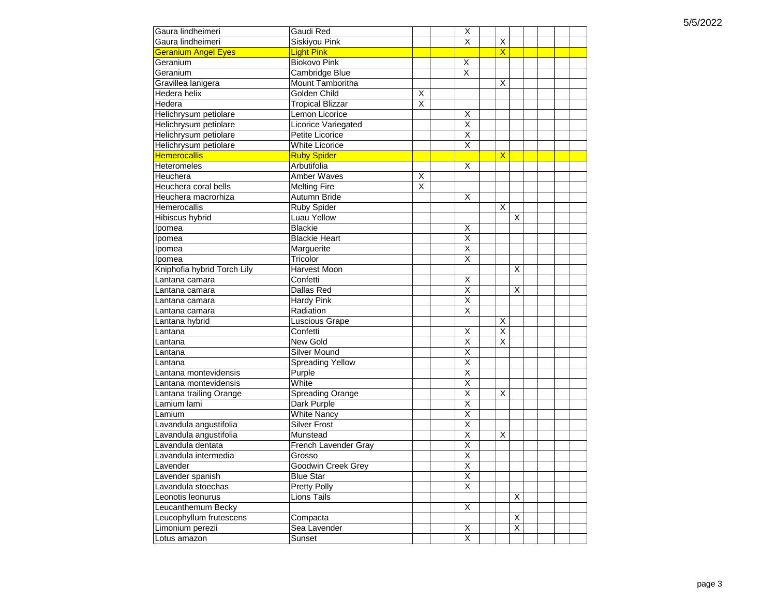| Gaura lindheimeri           | Gaudi Red               |   | х                       |                         |   |  |  |
|-----------------------------|-------------------------|---|-------------------------|-------------------------|---|--|--|
| Gaura lindheimeri           | Siskiyou Pink           |   | $\overline{\mathsf{X}}$ | X                       |   |  |  |
| <b>Geranium Angel Eyes</b>  | <b>Light Pink</b>       |   |                         | X                       |   |  |  |
| Geranium                    | <b>Biokovo Pink</b>     |   | Χ                       |                         |   |  |  |
| Geranium                    | Cambridge Blue          |   | $\overline{\mathsf{x}}$ |                         |   |  |  |
| Gravillea lanigera          | Mount Tamboritha        |   |                         | X                       |   |  |  |
| Hedera helix                | Golden Child            | Χ |                         |                         |   |  |  |
| Hedera                      | <b>Tropical Blizzar</b> | X |                         |                         |   |  |  |
| Helichrysum petiolare       | Lemon Licorice          |   | X                       |                         |   |  |  |
| Helichrysum petiolare       | Licorice Variegated     |   | $\overline{\mathsf{x}}$ |                         |   |  |  |
| Helichrysum petiolare       | Petite Licorice         |   | $\overline{\mathsf{x}}$ |                         |   |  |  |
| Helichrysum petiolare       | <b>White Licorice</b>   |   | $\overline{\mathsf{x}}$ |                         |   |  |  |
| <b>Hemerocallis</b>         | <b>Ruby Spider</b>      |   |                         | X                       |   |  |  |
| <b>Heteromeles</b>          | Arbutifolia             |   | $\overline{\mathsf{x}}$ |                         |   |  |  |
| Heuchera                    | Amber Waves             | X |                         |                         |   |  |  |
| Heuchera coral bells        | <b>Melting Fire</b>     | X |                         |                         |   |  |  |
| Heuchera macrorhiza         | Autumn Bride            |   | X                       |                         |   |  |  |
| Hemerocallis                | Ruby Spider             |   |                         | X                       |   |  |  |
| Hibiscus hybrid             | Luau Yellow             |   |                         |                         | X |  |  |
| Ipomea                      | <b>Blackie</b>          |   | х                       |                         |   |  |  |
| Ipomea                      | <b>Blackie Heart</b>    |   | $\overline{\mathsf{x}}$ |                         |   |  |  |
| Ipomea                      | Marguerite              |   | X                       |                         |   |  |  |
| Ipomea                      | Tricolor                |   | Χ                       |                         |   |  |  |
| Kniphofia hybrid Torch Lily | <b>Harvest Moon</b>     |   |                         |                         | X |  |  |
| Lantana camara              | Confetti                |   | Χ                       |                         |   |  |  |
| Lantana camara              | Dallas Red              |   | $\overline{\mathsf{x}}$ |                         | X |  |  |
| Lantana camara              | <b>Hardy Pink</b>       |   | $\overline{\mathsf{x}}$ |                         |   |  |  |
| Lantana camara              | Radiation               |   | X                       |                         |   |  |  |
| Lantana hybrid              | Luscious Grape          |   |                         | X                       |   |  |  |
| Lantana                     | Confetti                |   | X                       | $\overline{\mathsf{x}}$ |   |  |  |
| Lantana                     | New Gold                |   | X                       | X                       |   |  |  |
| Lantana                     | <b>Silver Mound</b>     |   | Χ                       |                         |   |  |  |
| Lantana                     | <b>Spreading Yellow</b> |   | $\overline{\mathsf{x}}$ |                         |   |  |  |
| Lantana montevidensis       | Purple                  |   | $\overline{\mathsf{x}}$ |                         |   |  |  |
| Lantana montevidensis       | White                   |   | $\overline{\mathsf{x}}$ |                         |   |  |  |
| Lantana trailing Orange     | Spreading Orange        |   | $\overline{\mathsf{x}}$ | X                       |   |  |  |
| Lamium lami                 | Dark Purple             |   | $\overline{\mathsf{x}}$ |                         |   |  |  |
| Lamium                      | <b>White Nancy</b>      |   | $\overline{\mathsf{x}}$ |                         |   |  |  |
| Lavandula angustifolia      | <b>Silver Frost</b>     |   | $\overline{\mathsf{x}}$ |                         |   |  |  |
| Lavandula angustifolia      | Munstead                |   | Χ                       | Χ                       |   |  |  |
| Lavandula dentata           | French Lavender Gray    |   | $\overline{\mathsf{x}}$ |                         |   |  |  |
| Lavandula intermedia        | Grosso                  |   | $\overline{\mathsf{x}}$ |                         |   |  |  |
| Lavender                    | Goodwin Creek Grey      |   | $\overline{\mathsf{X}}$ |                         |   |  |  |
| Lavender spanish            | <b>Blue Star</b>        |   | Χ                       |                         |   |  |  |
| Lavandula stoechas          | <b>Pretty Polly</b>     |   | X                       |                         |   |  |  |
| Leonotis leonurus           | Lions Tails             |   |                         |                         | X |  |  |
| Leucanthemum Becky          |                         |   | X                       |                         |   |  |  |
| Leucophyllum frutescens     | Compacta                |   |                         |                         | X |  |  |
| Limonium perezii            | Sea Lavender            |   | X                       |                         | X |  |  |
| Lotus amazon                | Sunset                  |   | $\overline{\mathsf{x}}$ |                         |   |  |  |
|                             |                         |   |                         |                         |   |  |  |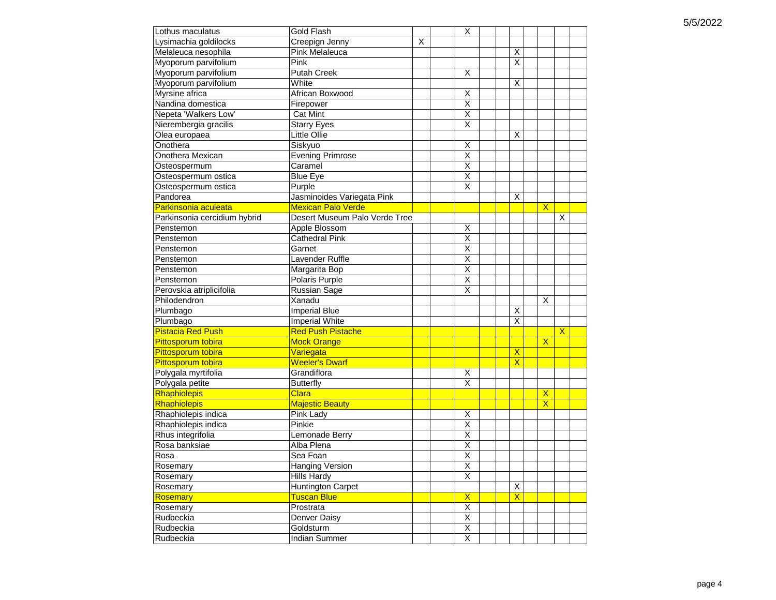| Lothus maculatus             | Gold Flash                    |   | X                       |                         |                         |                         |  |
|------------------------------|-------------------------------|---|-------------------------|-------------------------|-------------------------|-------------------------|--|
| Lysimachia goldilocks        | Creepign Jenny                | X |                         |                         |                         |                         |  |
| Melaleuca nesophila          | <b>Pink Melaleuca</b>         |   |                         | X                       |                         |                         |  |
| Myoporum parvifolium         | Pink                          |   |                         | X                       |                         |                         |  |
| Myoporum parvifolium         | Putah Creek                   |   | X                       |                         |                         |                         |  |
| Myoporum parvifolium         | White                         |   |                         | X                       |                         |                         |  |
| Myrsine africa               | African Boxwood               |   | х                       |                         |                         |                         |  |
| Nandina domestica            | Firepower                     |   | $\overline{\mathsf{x}}$ |                         |                         |                         |  |
| Nepeta 'Walkers Low'         | <b>Cat Mint</b>               |   | $\overline{\mathsf{x}}$ |                         |                         |                         |  |
| Nierembergia gracilis        | <b>Starry Eyes</b>            |   | $\overline{\mathsf{x}}$ |                         |                         |                         |  |
| Olea europaea                | Little Ollie                  |   |                         | X                       |                         |                         |  |
| Onothera                     | Siskyuo                       |   | X                       |                         |                         |                         |  |
| Onothera Mexican             | <b>Evening Primrose</b>       |   | $\overline{\mathsf{x}}$ |                         |                         |                         |  |
| Osteospermum                 | Caramel                       |   | $\overline{\mathsf{x}}$ |                         |                         |                         |  |
| Osteospermum ostica          | <b>Blue Eye</b>               |   | $\overline{\mathsf{x}}$ |                         |                         |                         |  |
| Osteospermum ostica          | Purple                        |   | $\overline{\mathsf{x}}$ |                         |                         |                         |  |
| Pandorea                     | Jasminoides Variegata Pink    |   |                         | X                       |                         |                         |  |
| Parkinsonia aculeata         | <b>Mexican Palo Verde</b>     |   |                         |                         | $\overline{\mathsf{X}}$ |                         |  |
| Parkinsonia cercidium hybrid | Desert Museum Palo Verde Tree |   |                         |                         |                         | X                       |  |
| Penstemon                    | Apple Blossom                 |   | X                       |                         |                         |                         |  |
| Penstemon                    | <b>Cathedral Pink</b>         |   | $\overline{\mathsf{x}}$ |                         |                         |                         |  |
| Penstemon                    | Garnet                        |   | X                       |                         |                         |                         |  |
| Penstemon                    | Lavender Ruffle               |   | $\overline{\mathsf{x}}$ |                         |                         |                         |  |
| Penstemon                    | Margarita Bop                 |   | $\overline{\mathsf{x}}$ |                         |                         |                         |  |
| Penstemon                    | Polaris Purple                |   | $\overline{\mathsf{x}}$ |                         |                         |                         |  |
| Perovskia atriplicifolia     |                               |   | $\overline{\mathsf{x}}$ |                         |                         |                         |  |
| Philodendron                 | Russian Sage<br>Xanadu        |   |                         |                         | X                       |                         |  |
|                              |                               |   |                         |                         |                         |                         |  |
| Plumbago                     | <b>Imperial Blue</b>          |   |                         | Χ                       |                         |                         |  |
| Plumbago                     | Imperial White                |   |                         | X                       |                         |                         |  |
| <b>Pistacia Red Push</b>     | <b>Red Push Pistache</b>      |   |                         |                         |                         | $\overline{\mathsf{x}}$ |  |
| Pittosporum tobira           | <b>Mock Orange</b>            |   |                         |                         | $\overline{\mathsf{x}}$ |                         |  |
| Pittosporum tobira           | Variegata                     |   |                         | $\mathsf{X}$            |                         |                         |  |
| Pittosporum tobira           | <b>Weeler's Dwarf</b>         |   |                         | $\overline{\mathsf{X}}$ |                         |                         |  |
| Polygala myrtifolia          | Grandiflora                   |   | Χ                       |                         |                         |                         |  |
| Polygala petite              | <b>Butterfly</b>              |   | X                       |                         |                         |                         |  |
| Rhaphiolepis                 | Clara                         |   |                         |                         | $\mathsf{x}$            |                         |  |
| Rhaphiolepis                 | <b>Majestic Beauty</b>        |   |                         |                         | $\overline{\mathsf{X}}$ |                         |  |
| Rhaphiolepis indica          | Pink Lady                     |   | X                       |                         |                         |                         |  |
| Rhaphiolepis indica          | Pinkie                        |   | $\overline{\mathsf{x}}$ |                         |                         |                         |  |
| Rhus integrifolia            | Lemonade Berry                |   | Χ                       |                         |                         |                         |  |
| Rosa banksiae                | Alba Plena                    |   | $\overline{\mathsf{x}}$ |                         |                         |                         |  |
| Rosa                         | Sea Foan                      |   | $\overline{\mathsf{x}}$ |                         |                         |                         |  |
| Rosemary                     | Hanging Version               |   | $\overline{\mathsf{X}}$ |                         |                         |                         |  |
| Rosemary                     | Hills Hardy                   |   | Χ                       |                         |                         |                         |  |
| Rosemary                     | <b>Huntington Carpet</b>      |   |                         | X                       |                         |                         |  |
| <b>Rosemary</b>              | Tuscan Blue                   |   | $\mathsf{X}$            | $\mathsf{X}$            |                         |                         |  |
| Rosemary                     | Prostrata                     |   | $\overline{\mathsf{x}}$ |                         |                         |                         |  |
| Rudbeckia                    | Denver Daisy                  |   | $\overline{X}$          |                         |                         |                         |  |
| Rudbeckia                    | Goldsturm                     |   | Χ                       |                         |                         |                         |  |
| Rudbeckia                    | Indian Summer                 |   | $\overline{\mathsf{X}}$ |                         |                         |                         |  |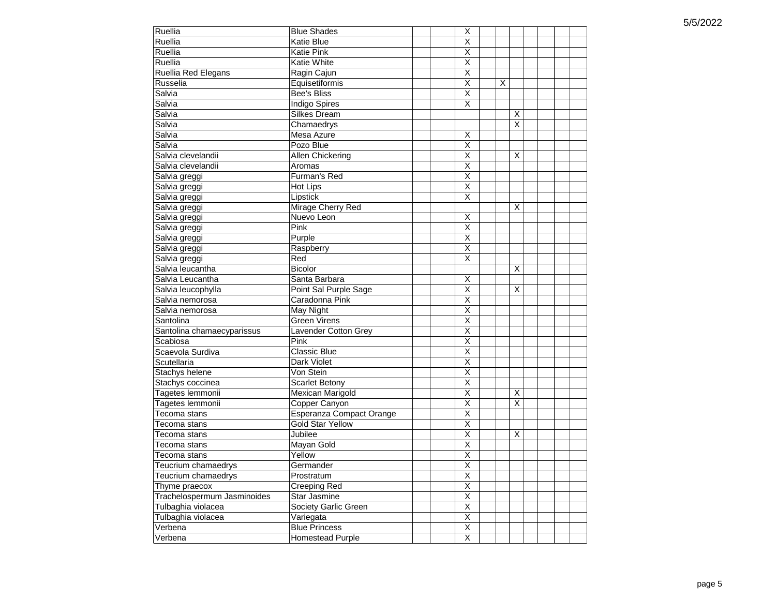| Ruellia                     | <b>Blue Shades</b>              | X                       |        |  |  |
|-----------------------------|---------------------------------|-------------------------|--------|--|--|
| Ruellia                     | <b>Katie Blue</b>               | $\overline{\mathsf{X}}$ |        |  |  |
| Ruellia                     | Katie Pink                      | Χ                       |        |  |  |
| Ruellia                     | Katie White                     | $\overline{\mathsf{x}}$ |        |  |  |
| Ruellia Red Elegans         | Ragin Cajun                     | $\overline{\mathsf{x}}$ |        |  |  |
| Russelia                    | Equisetiformis                  | $\overline{\mathsf{x}}$ | X      |  |  |
| Salvia                      | <b>Bee's Bliss</b>              | $\overline{\mathsf{x}}$ |        |  |  |
| Salvia                      | Indigo Spires                   | $\overline{\mathsf{x}}$ |        |  |  |
| Salvia                      | Silkes Dream                    |                         | X      |  |  |
| Salvia                      | Chamaedrys                      |                         | X      |  |  |
| Salvia                      | Mesa Azure                      | X                       |        |  |  |
| Salvia                      | Pozo Blue                       | $\overline{\mathsf{x}}$ |        |  |  |
| Salvia clevelandii          | Allen Chickering                | $\overline{\mathsf{x}}$ | X      |  |  |
| Salvia clevelandii          | Aromas                          | $\overline{\mathsf{x}}$ |        |  |  |
| Salvia greggi               | Furman's Red                    | $\overline{\mathsf{x}}$ |        |  |  |
| Salvia greggi               | Hot Lips                        | $\overline{\mathsf{x}}$ |        |  |  |
| Salvia greggi               | Lipstick                        | $\overline{\mathsf{x}}$ |        |  |  |
| Salvia greggi               | Mirage Cherry Red               |                         | X      |  |  |
| Salvia greggi               | Nuevo Leon                      | Χ                       |        |  |  |
| Salvia greggi               | Pink                            | $\overline{\mathsf{x}}$ |        |  |  |
| Salvia greggi               | Purple                          | $\overline{\mathsf{x}}$ |        |  |  |
| Salvia greggi               | Raspberry                       | $\overline{\mathsf{x}}$ |        |  |  |
| Salvia greggi               | Red                             | $\overline{\mathsf{x}}$ |        |  |  |
| Salvia leucantha            | Bicolor                         |                         | X      |  |  |
| Salvia Leucantha            | Santa Barbara                   | $\overline{\mathsf{x}}$ |        |  |  |
| Salvia leucophylla          | Point Sal Purple Sage           | $\overline{\mathsf{x}}$ | X      |  |  |
| Salvia nemorosa             | Caradonna Pink                  | $\overline{\mathsf{x}}$ |        |  |  |
| Salvia nemorosa             | May Night                       | $\overline{\mathsf{x}}$ |        |  |  |
| Santolina                   | <b>Green Virens</b>             | $\overline{\mathsf{x}}$ |        |  |  |
| Santolina chamaecyparissus  | Lavender Cotton Grey            | $\overline{\mathsf{x}}$ |        |  |  |
| Scabiosa                    | Pink                            | $\overline{\mathsf{x}}$ |        |  |  |
| Scaevola Surdiva            | <b>Classic Blue</b>             | $\overline{\mathsf{x}}$ |        |  |  |
| Scutellaria                 | Dark Violet                     | $\overline{\mathsf{x}}$ |        |  |  |
|                             | Von Stein                       | $\overline{\mathsf{x}}$ |        |  |  |
| Stachys helene              | <b>Scarlet Betony</b>           | $\overline{\mathsf{x}}$ |        |  |  |
| Stachys coccinea            |                                 | $\overline{\mathsf{x}}$ |        |  |  |
| Tagetes lemmonii            | Mexican Marigold                | $\overline{\mathsf{x}}$ | X<br>X |  |  |
| Tagetes lemmonii            | Copper Canyon                   | $\overline{\mathsf{x}}$ |        |  |  |
| Tecoma stans                | <b>Esperanza Compact Orange</b> |                         |        |  |  |
| Tecoma stans                | <b>Gold Star Yellow</b>         | $\overline{\mathsf{x}}$ |        |  |  |
| Tecoma stans                | Jubilee                         | $\overline{\mathsf{x}}$ | X      |  |  |
| Tecoma stans                | Mayan Gold                      | $\overline{\mathsf{x}}$ |        |  |  |
| Tecoma stans                | Yellow                          | $\overline{\mathsf{x}}$ |        |  |  |
| Teucrium chamaedrys         | Germander                       | $\overline{\mathsf{x}}$ |        |  |  |
| Teucrium chamaedrys         | Prostratum                      | $\overline{\mathsf{X}}$ |        |  |  |
| Thyme praecox               | <b>Creeping Red</b>             | $\overline{X}$          |        |  |  |
| Trachelospermum Jasminoides | <b>Star Jasmine</b>             | $\overline{\mathsf{x}}$ |        |  |  |
| Tulbaghia violacea          | Society Garlic Green            | $\overline{\mathsf{x}}$ |        |  |  |
| Tulbaghia violacea          | Variegata                       | $\overline{\mathsf{x}}$ |        |  |  |
| Verbena                     | <b>Blue Princess</b>            | X                       |        |  |  |
| Verbena                     | <b>Homestead Purple</b>         | $\overline{\mathsf{x}}$ |        |  |  |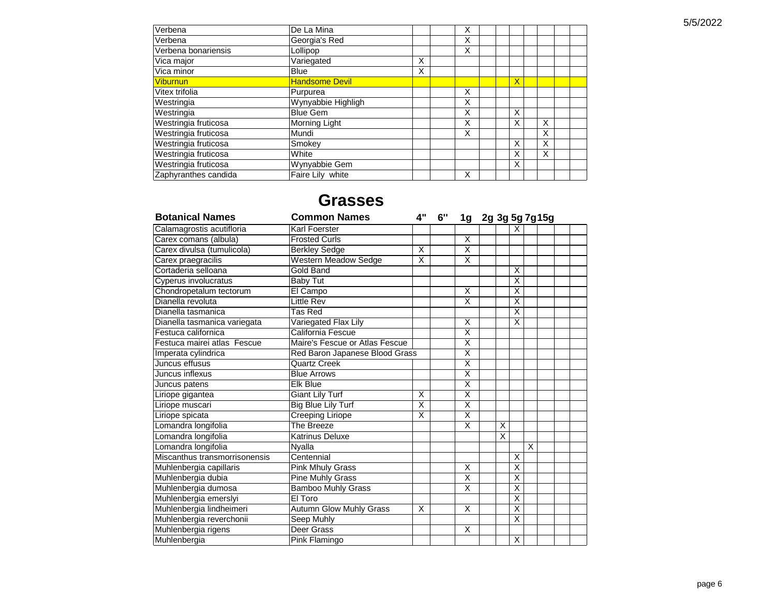| Verbena              | De La Mina            |   | X |  |                         |   |  |
|----------------------|-----------------------|---|---|--|-------------------------|---|--|
| Verbena              | Georgia's Red         |   | Χ |  |                         |   |  |
| Verbena bonariensis  | Lollipop              |   | X |  |                         |   |  |
| Vica major           | Variegated            | X |   |  |                         |   |  |
| Vica minor           | <b>Blue</b>           | X |   |  |                         |   |  |
| <b>Viburnun</b>      | <b>Handsome Devil</b> |   |   |  | $\overline{\mathsf{x}}$ |   |  |
| Vitex trifolia       | Purpurea              |   | X |  |                         |   |  |
| Westringia           | Wynyabbie Highligh    |   | X |  |                         |   |  |
| Westringia           | <b>Blue Gem</b>       |   | Χ |  | X                       |   |  |
| Westringia fruticosa | Morning Light         |   | X |  | X                       | X |  |
| Westringia fruticosa | Mundi                 |   | Χ |  |                         | X |  |
| Westringia fruticosa | Smokey                |   |   |  | X                       | X |  |
| Westringia fruticosa | White                 |   |   |  | X                       | X |  |
| Westringia fruticosa | Wynyabbie Gem         |   |   |  | X                       |   |  |
| Zaphyranthes candida | Faire Lily white      |   | X |  |                         |   |  |

## **Grasses**

| <b>Botanical Names</b>        | <b>Common Names</b>            | 4"                      | 6" | 1g                      | 2g 3g 5g 7g15g |                |                         |   |  |  |
|-------------------------------|--------------------------------|-------------------------|----|-------------------------|----------------|----------------|-------------------------|---|--|--|
| Calamagrostis acutifloria     | Karl Foerster                  |                         |    |                         |                |                | X                       |   |  |  |
| Carex comans (albula)         | <b>Frosted Curls</b>           |                         |    | X                       |                |                |                         |   |  |  |
| Carex divulsa (tumulicola)    | <b>Berkley Sedge</b>           | X                       |    | $\overline{\mathsf{x}}$ |                |                |                         |   |  |  |
| Carex praegracilis            | Western Meadow Sedge           | X                       |    | $\overline{\mathsf{x}}$ |                |                |                         |   |  |  |
| Cortaderia selloana           | Gold Band                      |                         |    |                         |                |                | $\times$                |   |  |  |
| Cyperus involucratus          | <b>Baby Tut</b>                |                         |    |                         |                |                | X                       |   |  |  |
| Chondropetalum tectorum       | El Campo                       |                         |    | X                       |                |                | X                       |   |  |  |
| Dianella revoluta             | Little Rev                     |                         |    | $\overline{\mathsf{x}}$ |                |                | $\overline{\mathsf{x}}$ |   |  |  |
| Dianella tasmanica            | Tas Red                        |                         |    |                         |                |                | $\overline{\mathsf{x}}$ |   |  |  |
| Dianella tasmanica variegata  | Variegated Flax Lily           |                         |    | X                       |                |                | X                       |   |  |  |
| Festuca californica           | California Fescue              |                         |    | $\overline{\mathsf{x}}$ |                |                |                         |   |  |  |
| Festuca mairei atlas Fescue   | Maire's Fescue or Atlas Fescue |                         |    | $\overline{\mathsf{x}}$ |                |                |                         |   |  |  |
| Imperata cylindrica           | Red Baron Japanese Blood Grass |                         |    | $\overline{\mathsf{x}}$ |                |                |                         |   |  |  |
| Juncus effusus                | <b>Quartz Creek</b>            |                         |    | $\overline{\mathsf{x}}$ |                |                |                         |   |  |  |
| Juncus inflexus               | <b>Blue Arrows</b>             |                         |    | $\overline{\mathsf{x}}$ |                |                |                         |   |  |  |
| Juncus patens                 | <b>Elk Blue</b>                |                         |    | X                       |                |                |                         |   |  |  |
| Liriope gigantea              | <b>Giant Lily Turf</b>         | X                       |    | $\overline{\mathsf{x}}$ |                |                |                         |   |  |  |
| Liriope muscari               | Big Blue Lily Turf             | $\overline{\mathsf{x}}$ |    | $\overline{\mathsf{x}}$ |                |                |                         |   |  |  |
| Liriope spicata               | <b>Creeping Liriope</b>        | X                       |    | $\overline{\mathsf{x}}$ |                |                |                         |   |  |  |
| Lomandra longifolia           | The Breeze                     |                         |    | $\overline{\mathsf{x}}$ |                | X              |                         |   |  |  |
| Lomandra longifolia           | Katrinus Deluxe                |                         |    |                         |                | $\overline{x}$ |                         |   |  |  |
| Lomandra longifolia           | Nyalla                         |                         |    |                         |                |                |                         | X |  |  |
| Miscanthus transmorrisonensis | Centennial                     |                         |    |                         |                |                | $\overline{\mathsf{x}}$ |   |  |  |
| Muhlenbergia capillaris       | <b>Pink Mhuly Grass</b>        |                         |    | $\overline{\mathsf{x}}$ |                |                | $\overline{\mathsf{x}}$ |   |  |  |
| Muhlenbergia dubia            | <b>Pine Muhly Grass</b>        |                         |    | $\overline{\mathsf{x}}$ |                |                | X                       |   |  |  |
| Muhlenbergia dumosa           | <b>Bamboo Muhly Grass</b>      |                         |    | $\overline{\mathsf{x}}$ |                |                | $\overline{\mathsf{X}}$ |   |  |  |
| Muhlenbergia emerslyi         | El Toro                        |                         |    |                         |                |                | $\overline{\mathsf{x}}$ |   |  |  |
| Muhlenbergia lindheimeri      | Autumn Glow Muhly Grass        | X                       |    | X                       |                |                | $\overline{x}$          |   |  |  |
| Muhlenbergia reverchonii      | Seep Muhly                     |                         |    |                         |                |                | $\overline{\mathsf{x}}$ |   |  |  |
| Muhlenbergia rigens           | Deer Grass                     |                         |    | X                       |                |                |                         |   |  |  |
| Muhlenbergia                  | Pink Flamingo                  |                         |    |                         |                |                | X                       |   |  |  |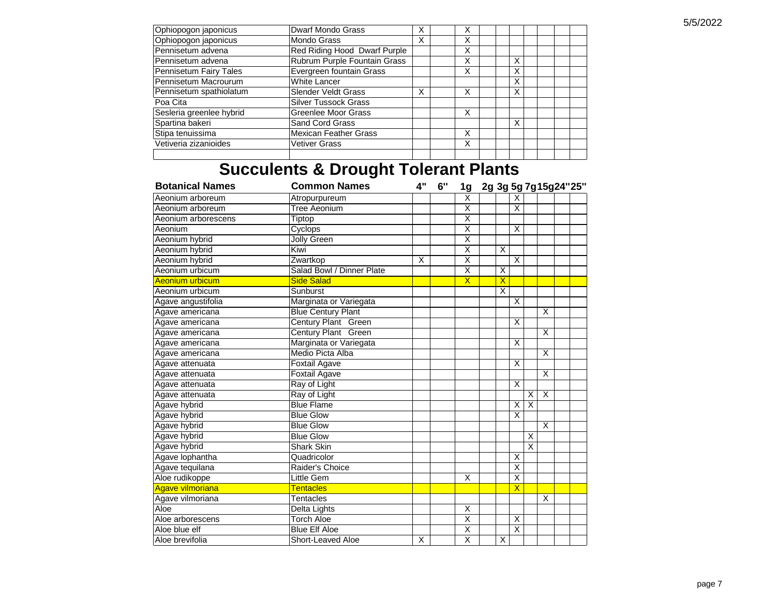| Ophiopogon japonicus     | Dwarf Mondo Grass            | х | х |   |  |  |
|--------------------------|------------------------------|---|---|---|--|--|
| Ophiopogon japonicus     | Mondo Grass                  | X | X |   |  |  |
| Pennisetum advena        | Red Riding Hood Dwarf Purple |   | Χ |   |  |  |
| Pennisetum advena        | Rubrum Purple Fountain Grass |   | Χ | X |  |  |
| Pennisetum Fairy Tales   | Evergreen fountain Grass     |   | Χ | X |  |  |
| Pennisetum Macrourum     | White Lancer                 |   |   | X |  |  |
| Pennisetum spathiolatum  | <b>Slender Veldt Grass</b>   | х | Χ | X |  |  |
| Poa Cita                 | <b>Silver Tussock Grass</b>  |   |   |   |  |  |
| Sesleria greenlee hybrid | Greenlee Moor Grass          |   | X |   |  |  |
| Spartina bakeri          | Sand Cord Grass              |   |   | X |  |  |
| Stipa tenuissima         | <b>Mexican Feather Grass</b> |   | Χ |   |  |  |
| Vetiveria zizanioides    | Vetiver Grass                |   | Χ |   |  |  |
|                          |                              |   |   |   |  |  |

# **Succulents & Drought Tolerant Plants**

| <b>Botanical Names</b> | <b>Common Names</b>       | 4"                      | 6" | 1g                      |                         |                         |                         | 2g 3g 5g 7g 15g 24" 25" |  |
|------------------------|---------------------------|-------------------------|----|-------------------------|-------------------------|-------------------------|-------------------------|-------------------------|--|
| Aeonium arboreum       | Atropurpureum             |                         |    | X                       |                         | X                       |                         |                         |  |
| Aeonium arboreum       | <b>Tree Aeonium</b>       |                         |    | X                       |                         | X                       |                         |                         |  |
| Aeonium arborescens    | Tiptop                    |                         |    | $\overline{\mathsf{x}}$ |                         |                         |                         |                         |  |
| Aeonium                | Cyclops                   |                         |    | $\overline{\mathsf{x}}$ |                         | X                       |                         |                         |  |
| Aeonium hybrid         | <b>Jolly Green</b>        |                         |    | $\overline{\mathsf{x}}$ |                         |                         |                         |                         |  |
| Aeonium hybrid         | Kiwi                      |                         |    | $\overline{\mathsf{x}}$ | X                       |                         |                         |                         |  |
| Aeonium hybrid         | Zwartkop                  | X                       |    | $\overline{\mathsf{x}}$ |                         | X                       |                         |                         |  |
| Aeonium urbicum        | Salad Bowl / Dinner Plate |                         |    | $\overline{\mathsf{x}}$ | X                       |                         |                         |                         |  |
| Aeonium urbicum        | <b>Side Salad</b>         |                         |    | $\overline{\mathsf{x}}$ | $\overline{\mathsf{x}}$ |                         |                         |                         |  |
| Aeonium urbicum        | Sunburst                  |                         |    |                         | $\times$                |                         |                         |                         |  |
| Agave angustifolia     | Marginata or Variegata    |                         |    |                         |                         | X                       |                         |                         |  |
| Agave americana        | <b>Blue Century Plant</b> |                         |    |                         |                         |                         |                         | X                       |  |
| Agave americana        | Century Plant Green       |                         |    |                         |                         | X                       |                         |                         |  |
| Agave americana        | Century Plant Green       |                         |    |                         |                         |                         |                         | X                       |  |
| Agave americana        | Marginata or Variegata    |                         |    |                         |                         | X                       |                         |                         |  |
| Agave americana        | Medio Picta Alba          |                         |    |                         |                         |                         |                         | X                       |  |
| Agave attenuata        | <b>Foxtail Agave</b>      |                         |    |                         |                         | $\overline{\mathsf{x}}$ |                         |                         |  |
| Agave attenuata        | <b>Foxtail Agave</b>      |                         |    |                         |                         |                         |                         | X                       |  |
| Agave attenuata        | Ray of Light              |                         |    |                         |                         | X                       |                         |                         |  |
| Agave attenuata        | Ray of Light              |                         |    |                         |                         |                         | X                       | X                       |  |
| Agave hybrid           | <b>Blue Flame</b>         |                         |    |                         |                         | X                       | $\overline{\mathsf{x}}$ |                         |  |
| Agave hybrid           | <b>Blue Glow</b>          |                         |    |                         |                         | $\overline{\mathsf{X}}$ |                         |                         |  |
| Agave hybrid           | <b>Blue Glow</b>          |                         |    |                         |                         |                         |                         | X                       |  |
| Agave hybrid           | <b>Blue Glow</b>          |                         |    |                         |                         |                         | X                       |                         |  |
| Agave hybrid           | <b>Shark Skin</b>         |                         |    |                         |                         |                         | $\overline{\mathsf{x}}$ |                         |  |
| Agave lophantha        | Quadricolor               |                         |    |                         |                         | X                       |                         |                         |  |
| Agave tequilana        | Raider's Choice           |                         |    |                         |                         | $\overline{\mathsf{x}}$ |                         |                         |  |
| Aloe rudikoppe         | Little Gem                |                         |    | X                       |                         | $\overline{\mathsf{x}}$ |                         |                         |  |
| Agave vilmoriana       | <b>Tentacles</b>          |                         |    |                         |                         | $\overline{\mathsf{x}}$ |                         |                         |  |
| Agave vilmoriana       | Tentacles                 |                         |    |                         |                         |                         |                         | X                       |  |
| Aloe                   | Delta Lights              |                         |    | X                       |                         |                         |                         |                         |  |
| Aloe arborescens       | <b>Torch Aloe</b>         |                         |    | $\overline{\mathsf{x}}$ |                         | X                       |                         |                         |  |
| Aloe blue elf          | <b>Blue Elf Aloe</b>      |                         |    | $\overline{\mathsf{x}}$ |                         | X                       |                         |                         |  |
| Aloe brevifolia        | Short-Leaved Aloe         | $\overline{\mathsf{x}}$ |    | $\overline{\mathsf{x}}$ | X                       |                         |                         |                         |  |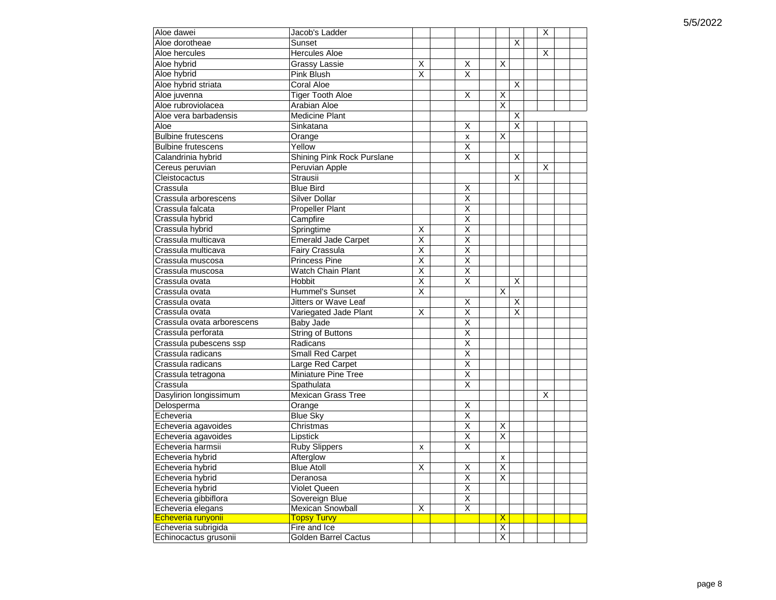| Aloe dawei                 | Jacob's Ladder              |                         |                         |                         |                         | X |  |
|----------------------------|-----------------------------|-------------------------|-------------------------|-------------------------|-------------------------|---|--|
| Aloe dorotheae             | Sunset                      |                         |                         |                         | X                       |   |  |
| Aloe hercules              | <b>Hercules Aloe</b>        |                         |                         |                         |                         | X |  |
| Aloe hybrid                | Grassy Lassie               | Χ                       | Χ                       | X                       |                         |   |  |
| Aloe hybrid                | Pink Blush                  | X                       | X                       |                         |                         |   |  |
| Aloe hybrid striata        | Coral Aloe                  |                         |                         |                         | X                       |   |  |
| Aloe juvenna               | <b>Tiger Tooth Aloe</b>     |                         | X                       | Χ                       |                         |   |  |
| Aloe rubroviolacea         | Arabian Aloe                |                         |                         | X                       |                         |   |  |
| Aloe vera barbadensis      | <b>Medicine Plant</b>       |                         |                         |                         | X                       |   |  |
| Aloe                       | Sinkatana                   |                         | X                       |                         | $\overline{\mathsf{x}}$ |   |  |
| <b>Bulbine frutescens</b>  | Orange                      |                         | X                       | $\overline{\mathsf{x}}$ |                         |   |  |
| <b>Bulbine frutescens</b>  | Yellow                      |                         | Χ                       |                         |                         |   |  |
| Calandrinia hybrid         | Shining Pink Rock Purslane  |                         | $\overline{\mathsf{x}}$ |                         | X                       |   |  |
| Cereus peruvian            | Peruvian Apple              |                         |                         |                         |                         | X |  |
| Cleistocactus              | Strausii                    |                         |                         |                         | X                       |   |  |
| Crassula                   | <b>Blue Bird</b>            |                         | X                       |                         |                         |   |  |
| Crassula arborescens       | <b>Silver Dollar</b>        |                         | X                       |                         |                         |   |  |
| Crassula falcata           | <b>Propeller Plant</b>      |                         | $\overline{\mathsf{x}}$ |                         |                         |   |  |
| Crassula hybrid            | Campfire                    |                         | $\overline{\mathsf{x}}$ |                         |                         |   |  |
| Crassula hybrid            | Springtime                  | X                       | $\overline{X}$          |                         |                         |   |  |
| Crassula multicava         | <b>Emerald Jade Carpet</b>  | X                       | $\overline{\mathsf{x}}$ |                         |                         |   |  |
| Crassula multicava         | Fairy Crassula              | $\overline{\mathsf{x}}$ | $\overline{\mathsf{X}}$ |                         |                         |   |  |
| Crassula muscosa           | <b>Princess Pine</b>        | $\overline{\mathsf{x}}$ | $\overline{\mathsf{x}}$ |                         |                         |   |  |
| Crassula muscosa           | <b>Watch Chain Plant</b>    | $\overline{\mathsf{x}}$ | $\overline{\mathsf{x}}$ |                         |                         |   |  |
| Crassula ovata             | Hobbit                      | X                       | $\overline{\mathsf{x}}$ |                         | X                       |   |  |
| Crassula ovata             | Hummel's Sunset             | $\overline{\mathsf{x}}$ |                         | X                       |                         |   |  |
| Crassula ovata             | Jitters or Wave Leaf        |                         | X                       |                         | X                       |   |  |
| Crassula ovata             | Variegated Jade Plant       | X                       | X                       |                         | X                       |   |  |
| Crassula ovata arborescens | <b>Baby Jade</b>            |                         | Χ                       |                         |                         |   |  |
| Crassula perforata         | <b>String of Buttons</b>    |                         | $\overline{\mathsf{x}}$ |                         |                         |   |  |
| Crassula pubescens ssp     | Radicans                    |                         | $\overline{\mathsf{x}}$ |                         |                         |   |  |
| Crassula radicans          | Small Red Carpet            |                         | $\overline{\mathsf{x}}$ |                         |                         |   |  |
| Crassula radicans          | Large Red Carpet            |                         | X                       |                         |                         |   |  |
| Crassula tetragona         | Miniature Pine Tree         |                         | Χ                       |                         |                         |   |  |
| Crassula                   | Spathulata                  |                         | $\overline{\mathsf{x}}$ |                         |                         |   |  |
| Dasylirion longissimum     | <b>Mexican Grass Tree</b>   |                         |                         |                         |                         | X |  |
| Delosperma                 | Orange                      |                         | X                       |                         |                         |   |  |
| Echeveria                  | <b>Blue Sky</b>             |                         | X                       |                         |                         |   |  |
| Echeveria agavoides        | Christmas                   |                         | $\overline{\mathsf{x}}$ | X                       |                         |   |  |
| Echeveria agavoides        | Lipstick                    |                         | $\overline{\mathsf{x}}$ | X                       |                         |   |  |
| Echeveria harmsii          | <b>Ruby Slippers</b>        | x                       | X                       |                         |                         |   |  |
| Echeveria hybrid           | Afterglow                   |                         |                         | х                       |                         |   |  |
| Echeveria hybrid           | <b>Blue Atoll</b>           | $\overline{\mathsf{x}}$ | $\overline{\mathsf{x}}$ | $\overline{\mathsf{x}}$ |                         |   |  |
| Echeveria hybrid           | Deranosa                    |                         | X                       | X                       |                         |   |  |
| Echeveria hybrid           | Violet Queen                |                         | $\overline{X}$          |                         |                         |   |  |
| Echeveria gibbiflora       | Sovereign Blue              |                         | $\overline{X}$          |                         |                         |   |  |
| Echeveria elegans          | <b>Mexican Snowball</b>     | $\overline{\mathsf{x}}$ | $\overline{\mathsf{X}}$ |                         |                         |   |  |
| Echeveria runyonii         | <b>Topsy Turvy</b>          |                         |                         | $\overline{\mathsf{X}}$ |                         |   |  |
| Echeveria subrigida        | Fire and Ice                |                         |                         | X                       |                         |   |  |
| Echinocactus grusonii      | <b>Golden Barrel Cactus</b> |                         |                         | $\overline{\mathsf{X}}$ |                         |   |  |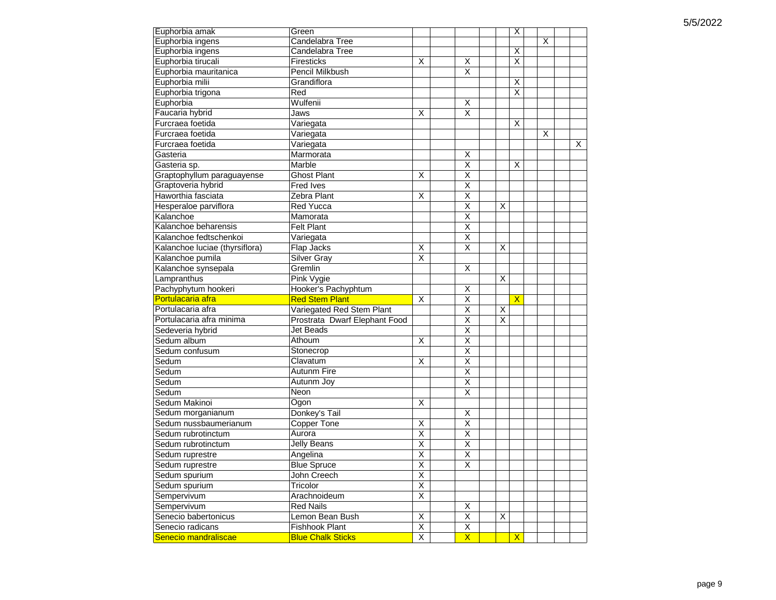| Euphorbia amak                           | Green                                             |                                  |                                           |   | Χ                       |   |   |
|------------------------------------------|---------------------------------------------------|----------------------------------|-------------------------------------------|---|-------------------------|---|---|
| Euphorbia ingens                         | Candelabra Tree                                   |                                  |                                           |   |                         | X |   |
| Euphorbia ingens                         | Candelabra Tree                                   |                                  |                                           |   | X                       |   |   |
| Euphorbia tirucali                       | Firesticks                                        | X                                | X                                         |   | X                       |   |   |
| Euphorbia mauritanica                    | Pencil Milkbush                                   |                                  | X                                         |   |                         |   |   |
| Euphorbia milii                          | Grandiflora                                       |                                  |                                           |   | X                       |   |   |
| Euphorbia trigona                        | Red                                               |                                  |                                           |   | $\overline{\mathsf{x}}$ |   |   |
| Euphorbia                                | Wulfenii                                          |                                  | X                                         |   |                         |   |   |
| Faucaria hybrid                          | Jaws                                              | X                                | X                                         |   |                         |   |   |
| Furcraea foetida                         | Variegata                                         |                                  |                                           |   | X                       |   |   |
| Furcraea foetida                         | Variegata                                         |                                  |                                           |   |                         | X |   |
| Furcraea foetida                         | Variegata                                         |                                  |                                           |   |                         |   | X |
| Gasteria                                 | Marmorata                                         |                                  | X                                         |   |                         |   |   |
| Gasteria sp.                             | Marble                                            |                                  | X                                         |   | X                       |   |   |
| Graptophyllum paraguayense               | <b>Ghost Plant</b>                                | X                                | $\overline{\mathsf{x}}$                   |   |                         |   |   |
| Graptoveria hybrid                       | <b>Fred Ives</b>                                  |                                  | $\overline{\mathsf{x}}$                   |   |                         |   |   |
| Haworthia fasciata                       | Zebra Plant                                       | X                                | $\overline{\mathsf{x}}$                   |   |                         |   |   |
| Hesperaloe parviflora                    | <b>Red Yucca</b>                                  |                                  | Χ                                         | X |                         |   |   |
| Kalanchoe                                | Mamorata                                          |                                  | $\overline{\mathsf{X}}$                   |   |                         |   |   |
| Kalanchoe beharensis                     | <b>Felt Plant</b>                                 |                                  | $\overline{\mathsf{x}}$                   |   |                         |   |   |
| Kalanchoe fedtschenkoi                   | Variegata                                         |                                  | $\overline{\mathsf{x}}$                   |   |                         |   |   |
| Kalanchoe luciae (thyrsiflora)           | Flap Jacks                                        | X                                | X                                         | X |                         |   |   |
| Kalanchoe pumila                         | <b>Silver Gray</b>                                | X                                |                                           |   |                         |   |   |
| Kalanchoe synsepala                      | Gremlin                                           |                                  | X                                         |   |                         |   |   |
| Lampranthus                              | Pink Vygie                                        |                                  |                                           | X |                         |   |   |
|                                          |                                                   |                                  |                                           |   |                         |   |   |
|                                          |                                                   |                                  |                                           |   |                         |   |   |
| Pachyphytum hookeri                      | Hooker's Pachyphtum                               |                                  | X                                         |   |                         |   |   |
| Portulacaria afra                        | <b>Red Stem Plant</b>                             | X                                | Χ                                         |   | $\mathsf{X}$            |   |   |
| Portulacaria afra                        | Variegated Red Stem Plant                         |                                  | X                                         | X |                         |   |   |
| Portulacaria afra minima                 | Prostrata Dwarf Elephant Food                     |                                  | X                                         | X |                         |   |   |
| Sedeveria hybrid                         | <b>Jet Beads</b>                                  |                                  | $\overline{\mathsf{x}}$                   |   |                         |   |   |
| Sedum album                              | Athoum                                            | X                                | Χ                                         |   |                         |   |   |
| Sedum confusum                           | Stonecrop                                         |                                  | $\overline{\mathsf{x}}$                   |   |                         |   |   |
| Sedum                                    | Clavatum                                          | X                                | $\overline{\mathsf{x}}$                   |   |                         |   |   |
| Sedum                                    | Autunm Fire                                       |                                  | $\overline{\mathsf{x}}$                   |   |                         |   |   |
| Sedum                                    | Autunm Joy                                        |                                  | $\overline{\mathsf{x}}$                   |   |                         |   |   |
| Sedum                                    | Neon                                              |                                  | $\overline{\mathsf{x}}$                   |   |                         |   |   |
| Sedum Makinoi                            | Ogon                                              | X                                |                                           |   |                         |   |   |
| Sedum morganianum                        | Donkey's Tail                                     |                                  | $\overline{X}$                            |   |                         |   |   |
| Sedum nussbaumerianum                    | Copper Tone                                       | Χ                                | Χ                                         |   |                         |   |   |
| Sedum rubrotinctum                       | Aurora                                            | Χ                                | $\overline{\mathsf{x}}$                   |   |                         |   |   |
| Sedum rubrotinctum                       | Jelly Beans                                       | $\overline{\mathsf{x}}$          | $\overline{\mathsf{x}}$                   |   |                         |   |   |
| Sedum ruprestre                          | Angelina                                          | $\overline{\mathsf{x}}$          | $\overline{\mathsf{x}}$                   |   |                         |   |   |
| Sedum ruprestre                          | <b>Blue Spruce</b>                                | $\overline{x}$                   | $\overline{\mathsf{x}}$                   |   |                         |   |   |
| Sedum spurium                            | John Creech                                       | $\overline{\mathsf{x}}$          |                                           |   |                         |   |   |
| Sedum spurium                            | Tricolor                                          | $\overline{x}$                   |                                           |   |                         |   |   |
| Sempervivum                              | Arachnoideum                                      | $\overline{X}$                   |                                           |   |                         |   |   |
| Sempervivum                              | <b>Red Nails</b>                                  |                                  | X                                         |   |                         |   |   |
| Senecio babertonicus                     | Lemon Bean Bush                                   | Χ                                | X                                         | X |                         |   |   |
| Senecio radicans<br>Senecio mandraliscae | <b>Fishhook Plant</b><br><b>Blue Chalk Sticks</b> | $\overline{X}$<br>$\overline{X}$ | $\overline{X}$<br>$\overline{\mathsf{X}}$ |   | $\mathsf{X}$            |   |   |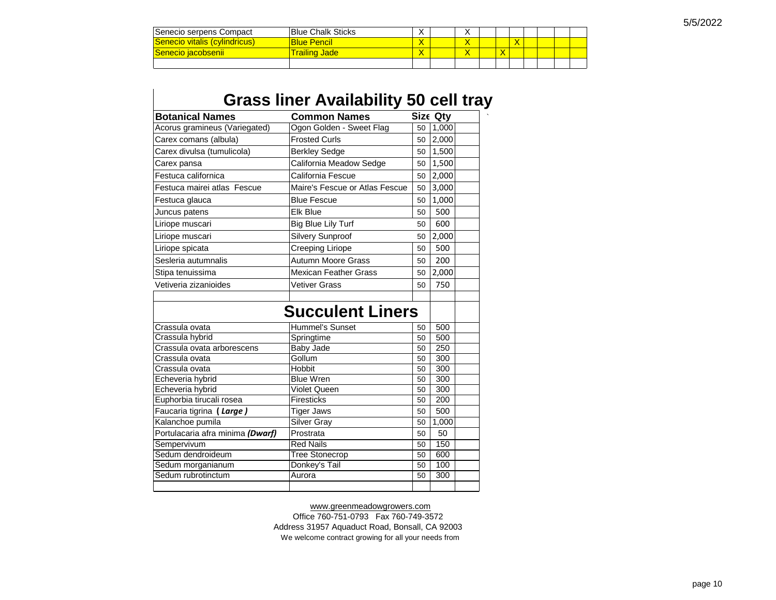| ⊺Senecio serpens Compact             | <b>Blue Chalk Sticks</b> |  | $\lambda$ |              |  |  |  |
|--------------------------------------|--------------------------|--|-----------|--------------|--|--|--|
| <b>Senecio vitalis (cylindricus)</b> | <b>Blue Pencil</b>       |  |           |              |  |  |  |
| Senecio iacobsenii I                 | <u> Frailing Jadel</u>   |  |           | $\mathbf{v}$ |  |  |  |
|                                      |                          |  |           |              |  |  |  |

| <b>Botanical Names</b>           | <b>Common Names</b>            |    | Size Qty |  |
|----------------------------------|--------------------------------|----|----------|--|
| Acorus gramineus (Variegated)    | Ogon Golden - Sweet Flag       |    | 50 1,000 |  |
| Carex comans (albula)            | <b>Frosted Curls</b>           | 50 | 2,000    |  |
| Carex divulsa (tumulicola)       | <b>Berkley Sedge</b>           | 50 | 1,500    |  |
| Carex pansa                      | California Meadow Sedge        | 50 | 1,500    |  |
| Festuca californica              | California Fescue              | 50 | 2,000    |  |
| Festuca mairei atlas Fescue      | Maire's Fescue or Atlas Fescue | 50 | 3,000    |  |
| Festuca glauca                   | <b>Blue Fescue</b>             | 50 | 1,000    |  |
| Juncus patens                    | Flk Blue                       | 50 | 500      |  |
| Liriope muscari                  | Big Blue Lily Turf             | 50 | 600      |  |
| Liriope muscari                  | <b>Silvery Sunproof</b>        | 50 | 2,000    |  |
| Liriope spicata                  | Creeping Liriope               | 50 | 500      |  |
| Sesleria autumnalis              | Autumn Moore Grass             | 50 | 200      |  |
| Stipa tenuissima                 | <b>Mexican Feather Grass</b>   | 50 | 2,000    |  |
| Vetiveria zizanioides            | <b>Vetiver Grass</b>           | 50 | 750      |  |
|                                  | <b>Succulent Liners</b>        |    |          |  |
| Crassula ovata                   | <b>Hummel's Sunset</b>         | 50 | 500      |  |
| Crassula hybrid                  | Springtime                     | 50 | 500      |  |
|                                  |                                |    |          |  |
| Crassula ovata arborescens       | Baby Jade                      | 50 | 250      |  |
| Crassula ovata                   | Gollum                         | 50 | 300      |  |
| Crassula ovata                   | Hobbit                         | 50 | 300      |  |
| Echeveria hybrid                 | <b>Blue Wren</b>               | 50 | 300      |  |
| Echeveria hybrid                 | <b>Violet Queen</b>            | 50 | 300      |  |
| Euphorbia tirucali rosea         | <b>Firesticks</b>              | 50 | 200      |  |
| Faucaria tigrina (Large)         | <b>Tiger Jaws</b>              | 50 | 500      |  |
| Kalanchoe pumila                 | <b>Silver Gray</b>             | 50 | 1.000    |  |
| Portulacaria afra minima (Dwarf) | Prostrata                      | 50 | 50       |  |
| Sempervivum                      | <b>Red Nails</b>               | 50 | 150      |  |
| Sedum dendroideum                | <b>Tree Stonecrop</b>          | 50 | 600      |  |
| Sedum morganianum                | Donkey's Tail                  | 50 | 100      |  |

#### [w](http://www.greenmeadowgrowers.com/)ww.greenmeadowgrowers.com

We welcome contract growing for all your needs from Office 760-751-0793 Fax 760-749-3572 Address 31957 Aquaduct Road, Bonsall, CA 92003